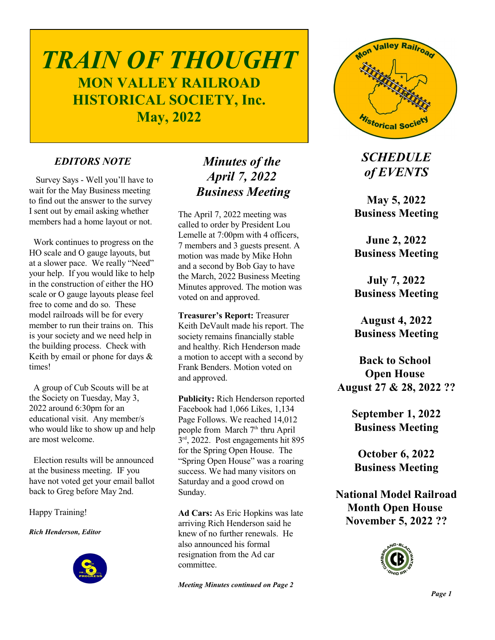# *TRAIN OF THOUGHT* **MON VALLEY RAILROAD HISTORICAL SOCIETY, Inc. May, 2022**

## *EDITORS NOTE*

 Survey Says - Well you'll have to wait for the May Business meeting to find out the answer to the survey I sent out by email asking whether members had a home layout or not.

 Work continues to progress on the HO scale and O gauge layouts, but at a slower pace. We really "Need" your help. If you would like to help in the construction of either the HO scale or O gauge layouts please feel free to come and do so. These model railroads will be for every member to run their trains on. This is your society and we need help in the building process. Check with Keith by email or phone for days  $\&$ times!

 A group of Cub Scouts will be at the Society on Tuesday, May 3, 2022 around 6:30pm for an educational visit. Any member/s who would like to show up and help are most welcome.

 Election results will be announced at the business meeting. IF you have not voted get your email ballot back to Greg before May 2nd.

Happy Training!

*Rich Henderson, Editor*



## *Minutes of the April 7, 2022 Business Meeting*

The April 7, 2022 meeting was called to order by President Lou Lemelle at 7:00pm with 4 officers, 7 members and 3 guests present. A motion was made by Mike Hohn and a second by Bob Gay to have the March, 2022 Business Meeting Minutes approved. The motion was voted on and approved.

**Treasurer's Report:** Treasurer Keith DeVault made his report. The society remains financially stable and healthy. Rich Henderson made a motion to accept with a second by Frank Benders. Motion voted on and approved.

**Publicity:** Rich Henderson reported Facebook had 1,066 Likes, 1,134 Page Follows. We reached 14,012 people from March 7<sup>th</sup> thru April 3 rd , 2022. Post engagements hit 895 for the Spring Open House. The "Spring Open House" was a roaring success. We had many visitors on Saturday and a good crowd on Sunday.

**Ad Cars:** As Eric Hopkins was late arriving Rich Henderson said he knew of no further renewals. He also announced his formal resignation from the Ad car committee.

*Meeting Minutes continued on Page 2*



*SCHEDULE of EVENTS*

**May 5, 2022 Business Meeting**

**June 2, 2022 Business Meeting**

**July 7, 2022 Business Meeting**

**August 4, 2022 Business Meeting**

**Back to School Open House August 27 & 28, 2022 ??**

> **September 1, 2022 Business Meeting**

**October 6, 2022 Business Meeting**

**National Model Railroad Month Open House November 5, 2022 ??**

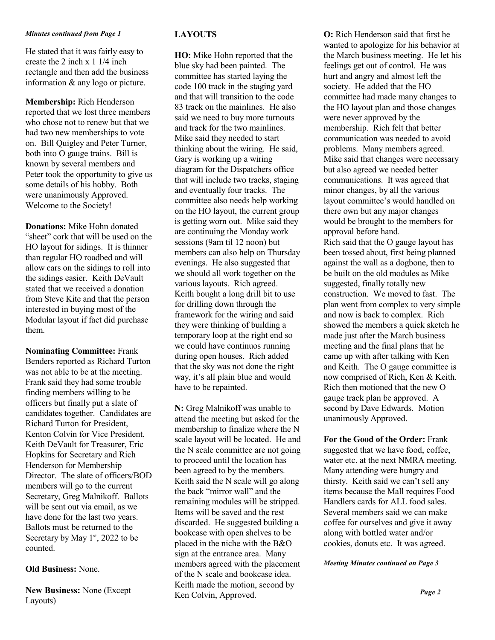#### *Minutes continued from Page 1*

He stated that it was fairly easy to create the 2 inch x 1 1/4 inch rectangle and then add the business information & any logo or picture.

**Membership:** Rich Henderson reported that we lost three members who chose not to renew but that we had two new memberships to vote on. Bill Quigley and Peter Turner, both into O gauge trains. Bill is known by several members and Peter took the opportunity to give us some details of his hobby. Both were unanimously Approved. Welcome to the Society!

**Donations:** Mike Hohn donated "sheet" cork that will be used on the HO layout for sidings. It is thinner than regular HO roadbed and will allow cars on the sidings to roll into the sidings easier. Keith DeVault stated that we received a donation from Steve Kite and that the person interested in buying most of the Modular layout if fact did purchase them.

**Nominating Committee:** Frank Benders reported as Richard Turton was not able to be at the meeting. Frank said they had some trouble finding members willing to be officers but finally put a slate of candidates together. Candidates are Richard Turton for President, Kenton Colvin for Vice President, Keith DeVault for Treasurer, Eric Hopkins for Secretary and Rich Henderson for Membership Director. The slate of officers/BOD members will go to the current Secretary, Greg Malnikoff. Ballots will be sent out via email, as we have done for the last two years. Ballots must be returned to the Secretary by May  $1<sup>st</sup>$ , 2022 to be counted.

#### **Old Business:** None.

**New Business:** None (Except Layouts)

#### **LAYOUTS**

**HO:** Mike Hohn reported that the blue sky had been painted. The committee has started laying the code 100 track in the staging yard and that will transition to the code 83 track on the mainlines. He also said we need to buy more turnouts and track for the two mainlines. Mike said they needed to start thinking about the wiring. He said, Gary is working up a wiring diagram for the Dispatchers office that will include two tracks, staging and eventually four tracks. The committee also needs help working on the HO layout, the current group is getting worn out. Mike said they are continuing the Monday work sessions (9am til 12 noon) but members can also help on Thursday evenings. He also suggested that we should all work together on the various layouts. Rich agreed. Keith bought a long drill bit to use for drilling down through the framework for the wiring and said they were thinking of building a temporary loop at the right end so we could have continuos running during open houses. Rich added that the sky was not done the right way, it's all plain blue and would have to be repainted.

**N:** Greg Malnikoff was unable to attend the meeting but asked for the membership to finalize where the N scale layout will be located. He and the N scale committee are not going to proceed until the location has been agreed to by the members. Keith said the N scale will go along the back "mirror wall" and the remaining modules will be stripped. Items will be saved and the rest discarded. He suggested building a bookcase with open shelves to be placed in the niche with the B&O sign at the entrance area. Many members agreed with the placement of the N scale and bookcase idea. Keith made the motion, second by Ken Colvin, Approved.

**O:** Rich Henderson said that first he wanted to apologize for his behavior at the March business meeting. He let his feelings get out of control. He was hurt and angry and almost left the society. He added that the HO committee had made many changes to the HO layout plan and those changes were never approved by the membership. Rich felt that better communication was needed to avoid problems. Many members agreed. Mike said that changes were necessary but also agreed we needed better communications. It was agreed that minor changes, by all the various layout committee's would handled on there own but any major changes would be brought to the members for approval before hand. Rich said that the O gauge layout has been tossed about, first being planned against the wall as a dogbone, then to be built on the old modules as Mike suggested, finally totally new construction. We moved to fast. The plan went from complex to very simple and now is back to complex. Rich showed the members a quick sketch he made just after the March business meeting and the final plans that he came up with after talking with Ken and Keith. The O gauge committee is now comprised of Rich, Ken & Keith. Rich then motioned that the new O gauge track plan be approved. A second by Dave Edwards. Motion unanimously Approved.

**For the Good of the Order:** Frank suggested that we have food, coffee, water etc. at the next NMRA meeting. Many attending were hungry and thirsty. Keith said we can't sell any items because the Mall requires Food Handlers cards for ALL food sales. Several members said we can make coffee for ourselves and give it away along with bottled water and/or cookies, donuts etc. It was agreed.

*Meeting Minutes continued on Page 3*